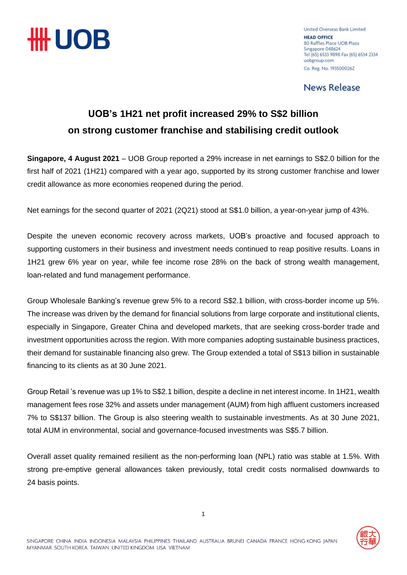

United Overseas Bank Limited **HEAD OFFICE** 80 Raffles Place UOB Plaza Singapore 048624 Tel (65) 6533 9898 Fax (65) 6534 2334 uobgroup.com Co. Reg. No. 1935000262

**News Release** 

## **UOB's 1H21 net profit increased 29% to S\$2 billion on strong customer franchise and stabilising credit outlook**

**Singapore, 4 August 2021** – UOB Group reported a 29% increase in net earnings to S\$2.0 billion for the first half of 2021 (1H21) compared with a year ago, supported by its strong customer franchise and lower credit allowance as more economies reopened during the period.

Net earnings for the second quarter of 2021 (2Q21) stood at S\$1.0 billion, a year-on-year jump of 43%.

Despite the uneven economic recovery across markets, UOB's proactive and focused approach to supporting customers in their business and investment needs continued to reap positive results. Loans in 1H21 grew 6% year on year, while fee income rose 28% on the back of strong wealth management, loan-related and fund management performance.

Group Wholesale Banking's revenue grew 5% to a record S\$2.1 billion, with cross-border income up 5%. The increase was driven by the demand for financial solutions from large corporate and institutional clients, especially in Singapore, Greater China and developed markets, that are seeking cross-border trade and investment opportunities across the region. With more companies adopting sustainable business practices, their demand for sustainable financing also grew. The Group extended a total of S\$13 billion in sustainable financing to its clients as at 30 June 2021.

Group Retail 's revenue was up 1% to S\$2.1 billion, despite a decline in net interest income. In 1H21, wealth management fees rose 32% and assets under management (AUM) from high affluent customers increased 7% to S\$137 billion. The Group is also steering wealth to sustainable investments. As at 30 June 2021, total AUM in environmental, social and governance-focused investments was S\$5.7 billion.

Overall asset quality remained resilient as the non-performing loan (NPL) ratio was stable at 1.5%. With strong pre-emptive general allowances taken previously, total credit costs normalised downwards to 24 basis points.

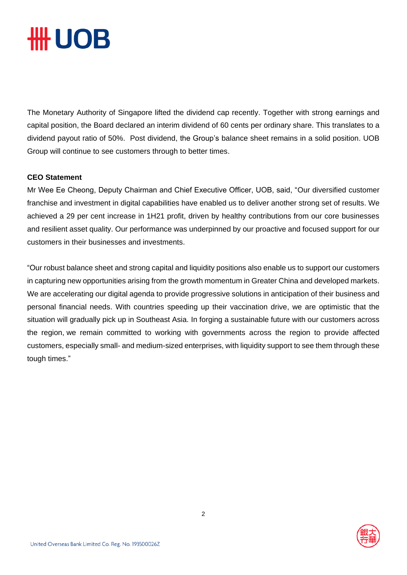# **III UOB**

The Monetary Authority of Singapore lifted the dividend cap recently. Together with strong earnings and capital position, the Board declared an interim dividend of 60 cents per ordinary share. This translates to a dividend payout ratio of 50%. Post dividend, the Group's balance sheet remains in a solid position. UOB Group will continue to see customers through to better times.

### **CEO Statement**

Mr Wee Ee Cheong, Deputy Chairman and Chief Executive Officer, UOB, said, "Our diversified customer franchise and investment in digital capabilities have enabled us to deliver another strong set of results. We achieved a 29 per cent increase in 1H21 profit, driven by healthy contributions from our core businesses and resilient asset quality. Our performance was underpinned by our proactive and focused support for our customers in their businesses and investments.

"Our robust balance sheet and strong capital and liquidity positions also enable us to support our customers in capturing new opportunities arising from the growth momentum in Greater China and developed markets. We are accelerating our digital agenda to provide progressive solutions in anticipation of their business and personal financial needs. With countries speeding up their vaccination drive, we are optimistic that the situation will gradually pick up in Southeast Asia. In forging a sustainable future with our customers across the region, we remain committed to working with governments across the region to provide affected customers, especially small- and medium-sized enterprises, with liquidity support to see them through these tough times."

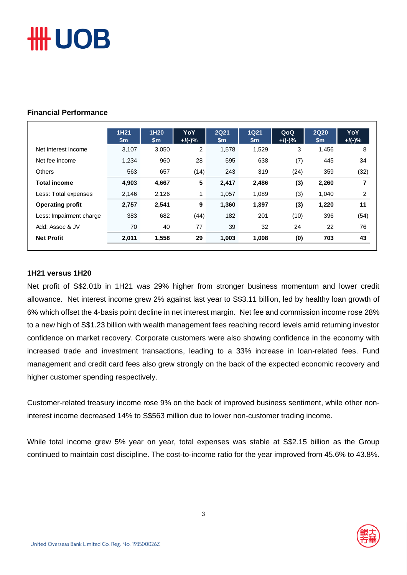# **HUOB**

### **Financial Performance**

|                         | 1H21<br>\$m | 1H <sub>20</sub><br>$\mathsf{sm}$ | <b>YoY</b><br>$+$ /(-)% | <b>2Q21</b><br>$\mathsf{sm}$ | <b>1Q21</b><br>$\mathsf{Sm}$ | QoQ<br>$+$ /(-)% | <b>2Q20</b><br>\$m | YoY<br>$+$ /(-)% |
|-------------------------|-------------|-----------------------------------|-------------------------|------------------------------|------------------------------|------------------|--------------------|------------------|
| Net interest income     | 3,107       | 3,050                             | 2                       | 1,578                        | 1,529                        | 3                | 1,456              | 8                |
| Net fee income          | 1,234       | 960                               | 28                      | 595                          | 638                          | (7)              | 445                | 34               |
| <b>Others</b>           | 563         | 657                               | (14)                    | 243                          | 319                          | (24)             | 359                | (32)             |
| <b>Total income</b>     | 4,903       | 4,667                             | 5                       | 2,417                        | 2,486                        | (3)              | 2,260              | 7                |
| Less: Total expenses    | 2,146       | 2,126                             |                         | 1,057                        | 1,089                        | (3)              | 1,040              | 2                |
| <b>Operating profit</b> | 2,757       | 2,541                             | 9                       | 1,360                        | 1,397                        | (3)              | 1,220              | 11               |
| Less: Impairment charge | 383         | 682                               | (44)                    | 182                          | 201                          | (10)             | 396                | (54)             |
| Add: Assoc & JV         | 70          | 40                                | 77                      | 39                           | 32                           | 24               | 22                 | 76               |
| <b>Net Profit</b>       | 2,011       | 1,558                             | 29                      | 1,003                        | 1,008                        | (0)              | 703                | 43               |

#### **1H21 versus 1H20**

Net profit of S\$2.01b in 1H21 was 29% higher from stronger business momentum and lower credit allowance. Net interest income grew 2% against last year to S\$3.11 billion, led by healthy loan growth of 6% which offset the 4-basis point decline in net interest margin. Net fee and commission income rose 28% to a new high of S\$1.23 billion with wealth management fees reaching record levels amid returning investor confidence on market recovery. Corporate customers were also showing confidence in the economy with increased trade and investment transactions, leading to a 33% increase in loan-related fees. Fund management and credit card fees also grew strongly on the back of the expected economic recovery and higher customer spending respectively.

Customer-related treasury income rose 9% on the back of improved business sentiment, while other noninterest income decreased 14% to S\$563 million due to lower non-customer trading income.

While total income grew 5% year on year, total expenses was stable at S\$2.15 billion as the Group continued to maintain cost discipline. The cost-to-income ratio for the year improved from 45.6% to 43.8%.

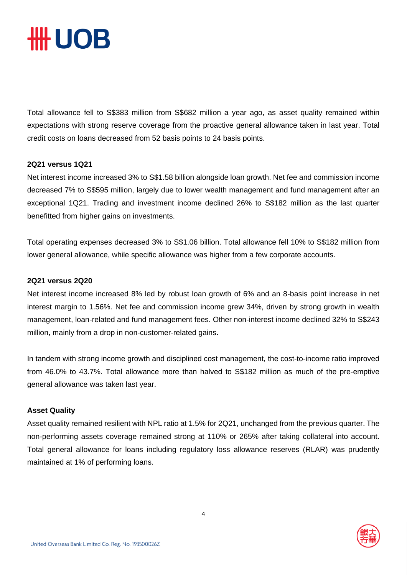

Total allowance fell to S\$383 million from S\$682 million a year ago, as asset quality remained within expectations with strong reserve coverage from the proactive general allowance taken in last year. Total credit costs on loans decreased from 52 basis points to 24 basis points.

#### **2Q21 versus 1Q21**

Net interest income increased 3% to S\$1.58 billion alongside loan growth. Net fee and commission income decreased 7% to S\$595 million, largely due to lower wealth management and fund management after an exceptional 1Q21. Trading and investment income declined 26% to S\$182 million as the last quarter benefitted from higher gains on investments.

Total operating expenses decreased 3% to S\$1.06 billion. Total allowance fell 10% to S\$182 million from lower general allowance, while specific allowance was higher from a few corporate accounts.

#### **2Q21 versus 2Q20**

Net interest income increased 8% led by robust loan growth of 6% and an 8-basis point increase in net interest margin to 1.56%. Net fee and commission income grew 34%, driven by strong growth in wealth management, loan-related and fund management fees. Other non-interest income declined 32% to S\$243 million, mainly from a drop in non-customer-related gains.

In tandem with strong income growth and disciplined cost management, the cost-to-income ratio improved from 46.0% to 43.7%. Total allowance more than halved to S\$182 million as much of the pre-emptive general allowance was taken last year.

#### **Asset Quality**

Asset quality remained resilient with NPL ratio at 1.5% for 2Q21, unchanged from the previous quarter. The non-performing assets coverage remained strong at 110% or 265% after taking collateral into account. Total general allowance for loans including regulatory loss allowance reserves (RLAR) was prudently maintained at 1% of performing loans.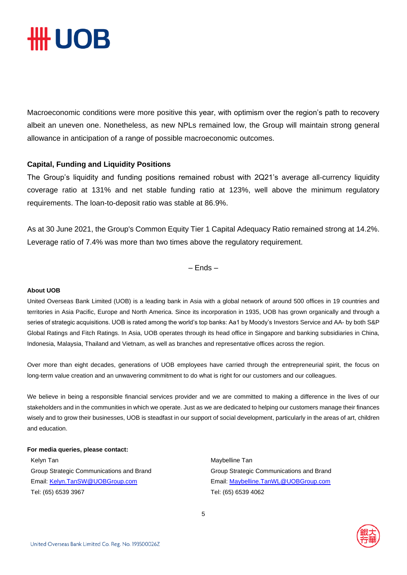

Macroeconomic conditions were more positive this year, with optimism over the region's path to recovery albeit an uneven one. Nonetheless, as new NPLs remained low, the Group will maintain strong general allowance in anticipation of a range of possible macroeconomic outcomes.

#### **Capital, Funding and Liquidity Positions**

The Group's liquidity and funding positions remained robust with 2Q21's average all-currency liquidity coverage ratio at 131% and net stable funding ratio at 123%, well above the minimum regulatory requirements. The loan-to-deposit ratio was stable at 86.9%.

As at 30 June 2021, the Group's Common Equity Tier 1 Capital Adequacy Ratio remained strong at 14.2%. Leverage ratio of 7.4% was more than two times above the regulatory requirement.

– Ends –

#### **About UOB**

United Overseas Bank Limited (UOB) is a leading bank in Asia with a global network of around 500 offices in 19 countries and territories in Asia Pacific, Europe and North America. Since its incorporation in 1935, UOB has grown organically and through a series of strategic acquisitions. UOB is rated among the world's top banks: Aa1 by Moody's Investors Service and AA- by both S&P Global Ratings and Fitch Ratings. In Asia, UOB operates through its head office in Singapore and banking subsidiaries in China, Indonesia, Malaysia, Thailand and Vietnam, as well as branches and representative offices across the region.

Over more than eight decades, generations of UOB employees have carried through the entrepreneurial spirit, the focus on long-term value creation and an unwavering commitment to do what is right for our customers and our colleagues.

We believe in being a responsible financial services provider and we are committed to making a difference in the lives of our stakeholders and in the communities in which we operate. Just as we are dedicated to helping our customers manage their finances wisely and to grow their businesses, UOB is steadfast in our support of social development, particularly in the areas of art, children and education.

#### **For media queries, please contact:**

Kelyn Tan Maybelline Tan Maybelline Tan Maybelline Tan Group Strategic Communications and Brand Group Strategic Communications and Brand Email[: Kelyn.TanSW@UOBGroup.com](mailto:Kelyn.TanSW@UOBGroup.com) Email: [Maybelline.TanWL@UOBGroup.com](mailto:Maybelline.TanWL@UOBGroup.com) Tel: (65) 6539 3967 Tel: (65) 6539 4062